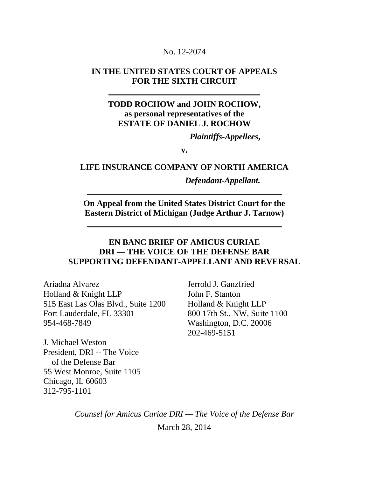#### No. 12-2074

### **IN THE UNITED STATES COURT OF APPEALS FOR THE SIXTH CIRCUIT**

### **TODD ROCHOW and JOHN ROCHOW, as personal representatives of the ESTATE OF DANIEL J. ROCHOW**

*Plaintiffs-Appellees***,**

**v.**

#### **LIFE INSURANCE COMPANY OF NORTH AMERICA**

#### *Defendant-Appellant.*

**On Appeal from the United States District Court for the Eastern District of Michigan (Judge Arthur J. Tarnow)**

### **EN BANC BRIEF OF AMICUS CURIAE DRI — THE VOICE OF THE DEFENSE BAR SUPPORTING DEFENDANT-APPELLANT AND REVERSAL**

Ariadna Alvarez Holland & Knight LLP 515 East Las Olas Blvd., Suite 1200 Fort Lauderdale, FL 33301 954-468-7849

Jerrold J. Ganzfried John F. Stanton Holland & Knight LLP 800 17th St., NW, Suite 1100 Washington, D.C. 20006 202-469-5151

J. Michael Weston President, DRI -- The Voice of the Defense Bar 55 West Monroe, Suite 1105 Chicago, IL 60603 312-795-1101

> *Counsel for Amicus Curiae DRI — The Voice of the Defense Bar* March 28, 2014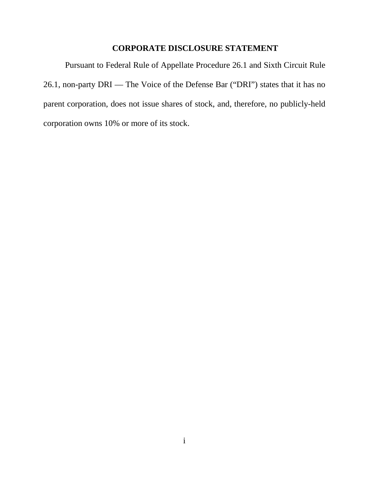### **CORPORATE DISCLOSURE STATEMENT**

Pursuant to [Federal Rule of Appellate Procedure](https://web2.westlaw.com/find/default.wl?mt=Westlaw&db=1000599&docname=USFRAPR26.1&rp=%2ffind%2fdefault.wl&findtype=L&ordoc=2032732270&tc=-1&vr=2.0&fn=_top&sv=Split&tf=-1&pbc=C7B03712&rs=WLW14.01) 26.1 and Sixth Circuit Rule 26.1, non-party DRI — The Voice of the Defense Bar ("DRI") states that it has no parent corporation, does not issue shares of stock, and, therefore, no publicly-held corporation owns 10% or more of its stock.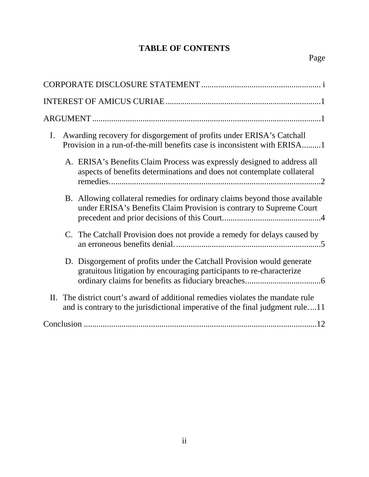# **TABLE OF CONTENTS**

| Awarding recovery for disgorgement of profits under ERISA's Catchall<br>$\mathbf{I}$ .<br>Provision in a run-of-the-mill benefits case is inconsistent with ERISA1 |
|--------------------------------------------------------------------------------------------------------------------------------------------------------------------|
| A. ERISA's Benefits Claim Process was expressly designed to address all<br>aspects of benefits determinations and does not contemplate collateral                  |
| B. Allowing collateral remedies for ordinary claims beyond those available<br>under ERISA's Benefits Claim Provision is contrary to Supreme Court                  |
| C. The Catchall Provision does not provide a remedy for delays caused by                                                                                           |
| D. Disgorgement of profits under the Catchall Provision would generate<br>gratuitous litigation by encouraging participants to re-characterize                     |
| II. The district court's award of additional remedies violates the mandate rule<br>and is contrary to the jurisdictional imperative of the final judgment rule11   |
| .12                                                                                                                                                                |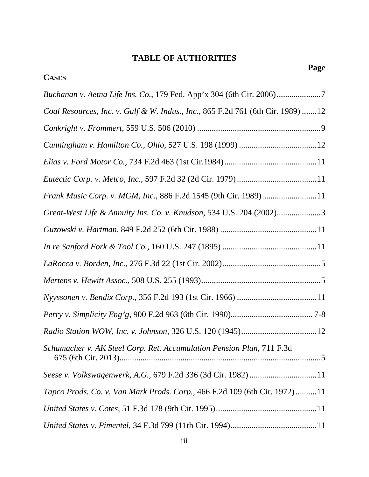## **TABLE OF AUTHORITIES**

**Page**

| <b>CASES</b>                                                                     |
|----------------------------------------------------------------------------------|
| Buchanan v. Aetna Life Ins. Co., 179 Fed. App'x 304 (6th Cir. 2006)7             |
| Coal Resources, Inc. v. Gulf & W. Indus., Inc., 865 F.2d 761 (6th Cir. 1989) 12  |
|                                                                                  |
|                                                                                  |
|                                                                                  |
|                                                                                  |
| Frank Music Corp. v. MGM, Inc., 886 F.2d 1545 (9th Cir. 1989)11                  |
| Great-West Life & Annuity Ins. Co. v. Knudson, 534 U.S. 204 (2002)3              |
|                                                                                  |
|                                                                                  |
|                                                                                  |
|                                                                                  |
|                                                                                  |
|                                                                                  |
|                                                                                  |
| Schumacher v. AK Steel Corp. Ret. Accumulation Pension Plan, 711 F.3d            |
| Seese v. Volkswagenwerk, A.G., 679 F.2d 336 (3d Cir. 1982) 11                    |
| <i>Tapco Prods. Co. v. Van Mark Prods. Corp.,</i> 466 F.2d 109 (6th Cir. 1972)11 |
|                                                                                  |
|                                                                                  |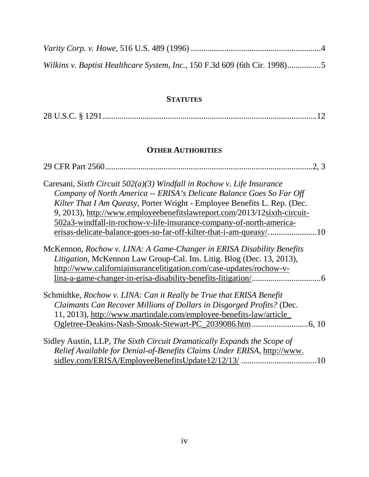| Wilkins v. Baptist Healthcare System, Inc., 150 F.3d 609 (6th Cir. 1998) |  |
|--------------------------------------------------------------------------|--|

### **STATUTES**

|--|--|

### **OTHER AUTHORITIES**

| 2, 3                                                                     |
|--------------------------------------------------------------------------|
| Caresani, Sixth Circuit $502(a)(3)$ Windfall in Rochow v. Life Insurance |
| Company of North America -- ERISA's Delicate Balance Goes So Far Off     |
| Kilter That I Am Queasy, Porter Wright - Employee Benefits L. Rep. (Dec. |
| 9, 2013), http://www.employeebenefitslawreport.com/2013/12sixth-circuit- |
| 502a3-windfall-in-rochow-v-life-insurance-company-of-north-america-      |
|                                                                          |
| McKennon, Rochow v. LINA: A Game-Changer in ERISA Disability Benefits    |
| Litigation, McKennon Law Group-Cal. Ins. Litig. Blog (Dec. 13, 2013),    |
| http://www.californiainsurancelitigation.com/case-updates/rochow-v-      |
|                                                                          |
| Schmidtke, Rochow v. LINA: Can it Really be True that ERISA Benefit      |
| Claimants Can Recover Millions of Dollars in Disgorged Profits? (Dec.    |
| 11, 2013), http://www.martindale.com/employee-benefits-law/article_      |
| Ogletree-Deakins-Nash-Smoak-Stewart-PC_2039086.htm<br>.6, 10             |
| Sidley Austin, LLP, The Sixth Circuit Dramatically Expands the Scope of  |
| Relief Available for Denial-of-Benefits Claims Under ERISA, http://www.  |

sidley.com/ERISA/EmployeeBenefitsUpdate12/12/13/ ....................................10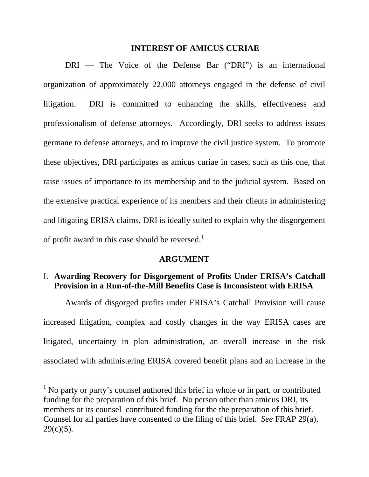#### **INTEREST OF AMICUS CURIAE**

DRI — The Voice of the Defense Bar ("DRI") is an international organization of approximately 22,000 attorneys engaged in the defense of civil litigation. DRI is committed to enhancing the skills, effectiveness and professionalism of defense attorneys. Accordingly, DRI seeks to address issues germane to defense attorneys, and to improve the civil justice system. To promote these objectives, DRI participates as amicus curiae in cases, such as this one, that raise issues of importance to its membership and to the judicial system. Based on the extensive practical experience of its members and their clients in administering and litigating ERISA claims, DRI is ideally suited to explain why the disgorgement of profit award in this case should be reversed.<sup>[1](#page-5-0)</sup>

#### **ARGUMENT**

### I. **Awarding Recovery for Disgorgement of Profits Under ERISA's Catchall Provision in a Run-of-the-Mill Benefits Case is Inconsistent with ERISA**

Awards of disgorged profits under ERISA's Catchall Provision will cause increased litigation, complex and costly changes in the way ERISA cases are litigated, uncertainty in plan administration, an overall increase in the risk associated with administering ERISA covered benefit plans and an increase in the

<span id="page-5-0"></span><sup>&</sup>lt;sup>1</sup> No party or party's counsel authored this brief in whole or in part, or contributed funding for the preparation of this brief. No person other than amicus DRI, its members or its counsel contributed funding for the the preparation of this brief. Counsel for all parties have consented to the filing of this brief. *See* FRAP 29(a),  $29(c)(5)$ .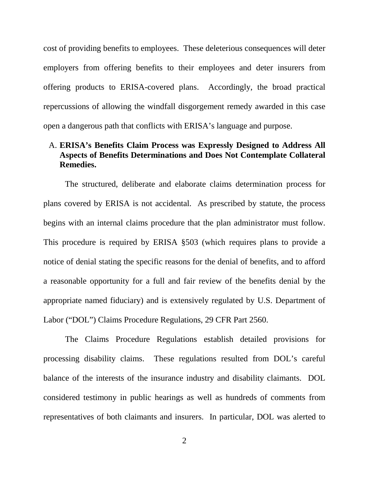cost of providing benefits to employees. These deleterious consequences will deter employers from offering benefits to their employees and deter insurers from offering products to ERISA-covered plans. Accordingly, the broad practical repercussions of allowing the windfall disgorgement remedy awarded in this case open a dangerous path that conflicts with ERISA's language and purpose.

### A. **ERISA's Benefits Claim Process was Expressly Designed to Address All Aspects of Benefits Determinations and Does Not Contemplate Collateral Remedies.**

The structured, deliberate and elaborate claims determination process for plans covered by ERISA is not accidental. As prescribed by statute, the process begins with an internal claims procedure that the plan administrator must follow. This procedure is required by ERISA §503 (which requires plans to provide a notice of denial stating the specific reasons for the denial of benefits, and to afford a reasonable opportunity for a full and fair review of the benefits denial by the appropriate named fiduciary) and is extensively regulated by U.S. Department of Labor ("DOL") Claims Procedure Regulations, 29 CFR Part 2560.

The Claims Procedure Regulations establish detailed provisions for processing disability claims. These regulations resulted from DOL's careful balance of the interests of the insurance industry and disability claimants. DOL considered testimony in public hearings as well as hundreds of comments from representatives of both claimants and insurers. In particular, DOL was alerted to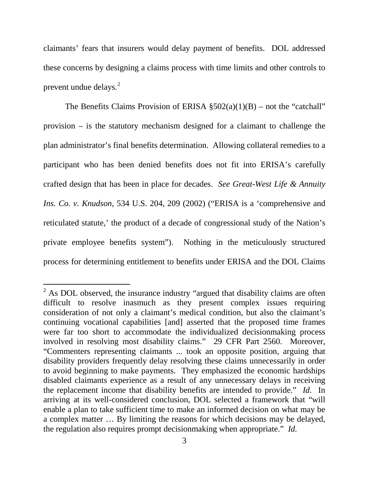claimants' fears that insurers would delay payment of benefits. DOL addressed these concerns by designing a claims process with time limits and other controls to prevent undue delays.<sup>[2](#page-7-0)</sup>

The Benefits Claims Provision of ERISA  $\S502(a)(1)(B)$  – not the "catchall" provision – is the statutory mechanism designed for a claimant to challenge the plan administrator's final benefits determination. Allowing collateral remedies to a participant who has been denied benefits does not fit into ERISA's carefully crafted design that has been in place for decades. *See Great-West Life & Annuity Ins. Co. v. Knudson*, 534 U.S. 204, 209 (2002) ("ERISA is a 'comprehensive and reticulated statute,' the product of a decade of congressional study of the Nation's private employee benefits system"). Nothing in the meticulously structured process for determining entitlement to benefits under ERISA and the DOL Claims

<span id="page-7-0"></span> $2$  As DOL observed, the insurance industry "argued that disability claims are often difficult to resolve inasmuch as they present complex issues requiring consideration of not only a claimant's medical condition, but also the claimant's continuing vocational capabilities [and] asserted that the proposed time frames were far too short to accommodate the individualized decisionmaking process involved in resolving most disability claims." 29 CFR Part 2560. Moreover, "Commenters representing claimants ... took an opposite position, arguing that disability providers frequently delay resolving these claims unnecessarily in order to avoid beginning to make payments. They emphasized the economic hardships disabled claimants experience as a result of any unnecessary delays in receiving the replacement income that disability benefits are intended to provide." *Id.* In arriving at its well-considered conclusion, DOL selected a framework that "will enable a plan to take sufficient time to make an informed decision on what may be a complex matter … By limiting the reasons for which decisions may be delayed, the regulation also requires prompt decisionmaking when appropriate." *Id.*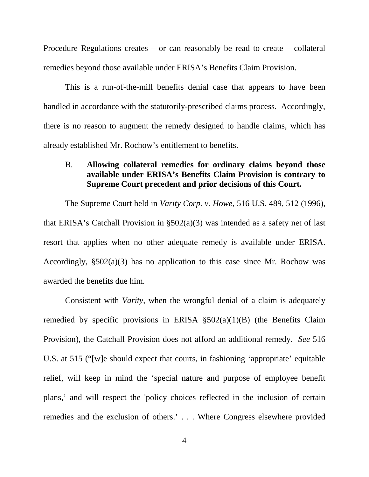Procedure Regulations creates – or can reasonably be read to create – collateral remedies beyond those available under ERISA's Benefits Claim Provision.

This is a run-of-the-mill benefits denial case that appears to have been handled in accordance with the statutorily-prescribed claims process. Accordingly, there is no reason to augment the remedy designed to handle claims, which has already established Mr. Rochow's entitlement to benefits.

### B. **Allowing collateral remedies for ordinary claims beyond those available under ERISA's Benefits Claim Provision is contrary to Supreme Court precedent and prior decisions of this Court.**

The Supreme Court held in *Varity Corp. v. Howe,* 516 U.S. 489, 512 (1996), that ERISA's Catchall Provision in §502(a)(3) was intended as a safety net of last resort that applies when no other adequate remedy is available under ERISA. Accordingly, §502(a)(3) has no application to this case since Mr. Rochow was awarded the benefits due him.

Consistent with *Varity,* when the wrongful denial of a claim is adequately remedied by specific provisions in ERISA  $\S502(a)(1)(B)$  (the Benefits Claim Provision), the Catchall Provision does not afford an additional remedy. *See* 516 U.S. at 515 ("[w]e should expect that courts, in fashioning 'appropriate' equitable relief, will keep in mind the 'special nature and purpose of employee benefit plans,' and will respect the 'policy choices reflected in the inclusion of certain remedies and the exclusion of others.' . . . Where Congress elsewhere provided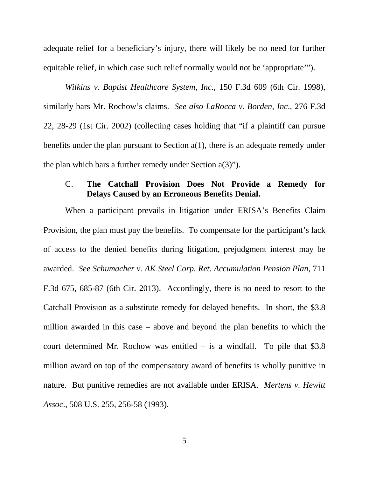adequate relief for a beneficiary's injury, there will likely be no need for further equitable relief, in which case such relief normally would not be 'appropriate'").

*Wilkins v. Baptist Healthcare System, Inc.*, 150 F.3d 609 (6th Cir. 1998), similarly bars Mr. Rochow's claims. *See also LaRocca v. Borden, Inc*., 276 F.3d 22, 28-29 (1st Cir. 2002) (collecting cases holding that "if a plaintiff can pursue benefits under the plan pursuant to Section  $a(1)$ , there is an adequate remedy under the plan which bars a further remedy under Section a(3)").

### C. **The Catchall Provision Does Not Provide a Remedy for Delays Caused by an Erroneous Benefits Denial.**

When a participant prevails in litigation under ERISA's Benefits Claim Provision, the plan must pay the benefits. To compensate for the participant's lack of access to the denied benefits during litigation, prejudgment interest may be awarded. *See Schumacher v. AK Steel Corp. Ret. Accumulation Pension Plan*, 711 F.3d 675, 685-87 (6th Cir. 2013). Accordingly, there is no need to resort to the Catchall Provision as a substitute remedy for delayed benefits. In short, the \$3.8 million awarded in this case – above and beyond the plan benefits to which the court determined Mr. Rochow was entitled – is a windfall. To pile that \$3.8 million award on top of the compensatory award of benefits is wholly punitive in nature. But punitive remedies are not available under ERISA. *Mertens v. Hewitt Assoc*., 508 U.S. 255, 256-58 (1993).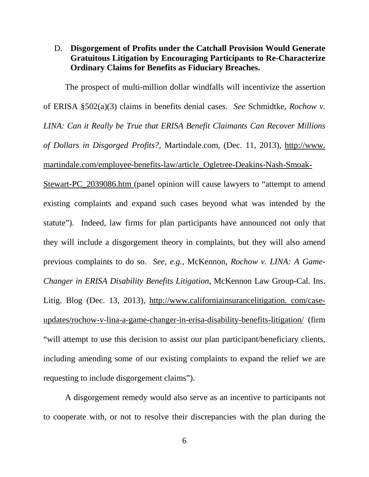### D. **Disgorgement of Profits under the Catchall Provision Would Generate Gratuitous Litigation by Encouraging Participants to Re-Characterize Ordinary Claims for Benefits as Fiduciary Breaches.**

The prospect of multi-million dollar windfalls will incentivize the assertion of ERISA §502(a)(3) claims in benefits denial cases. *See* Schmidtke, *Rochow v. LINA: Can it Really be True that ERISA Benefit Claimants Can Recover Millions of Dollars in Disgorged Profits?,* Martindale.com, (Dec. 11, 2013), http://www. martindale.com/employee-benefits-law/article\_Ogletree-Deakins-Nash-Smoak-Stewart-PC\_2039086.htm (panel opinion will cause lawyers to "attempt to amend existing complaints and expand such cases beyond what was intended by the statute"). Indeed, law firms for plan participants have announced not only that they will include a disgorgement theory in complaints, but they will also amend previous complaints to do so. *See, e.g.,* McKennon, *Rochow v. LINA: A Game-Changer in ERISA Disability Benefits Litigation*, McKennon Law Group-Cal. Ins. Litig. Blog (Dec. 13, 2013), http://www.californiainsurancelitigation. com/caseupdates/rochow-v-lina-a-game-changer-in-erisa-disability-benefits-litigation/ (firm "will attempt to use this decision to assist our plan participant/beneficiary clients, including amending some of our existing complaints to expand the relief we are requesting to include disgorgement claims").

A disgorgement remedy would also serve as an incentive to participants not to cooperate with, or not to resolve their discrepancies with the plan during the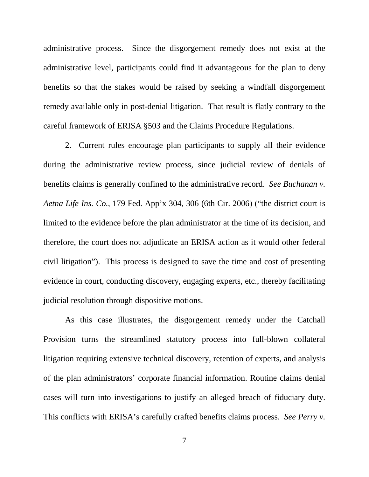administrative process. Since the disgorgement remedy does not exist at the administrative level, participants could find it advantageous for the plan to deny benefits so that the stakes would be raised by seeking a windfall disgorgement remedy available only in post-denial litigation. That result is flatly contrary to the careful framework of ERISA §503 and the Claims Procedure Regulations.

2. Current rules encourage plan participants to supply all their evidence during the administrative review process, since judicial review of denials of benefits claims is generally confined to the administrative record. *See Buchanan v. Aetna Life Ins. Co.*, 179 Fed. App'x 304, 306 (6th Cir. 2006) ("the district court is limited to the evidence before the plan administrator at the time of its decision, and therefore, the court does not adjudicate an ERISA action as it would other federal civil litigation"). This process is designed to save the time and cost of presenting evidence in court, conducting discovery, engaging experts, etc., thereby facilitating judicial resolution through dispositive motions.

As this case illustrates, the disgorgement remedy under the Catchall Provision turns the streamlined statutory process into full-blown collateral litigation requiring extensive technical discovery, retention of experts, and analysis of the plan administrators' corporate financial information. Routine claims denial cases will turn into investigations to justify an alleged breach of fiduciary duty. This conflicts with ERISA's carefully crafted benefits claims process. *See Perry v.*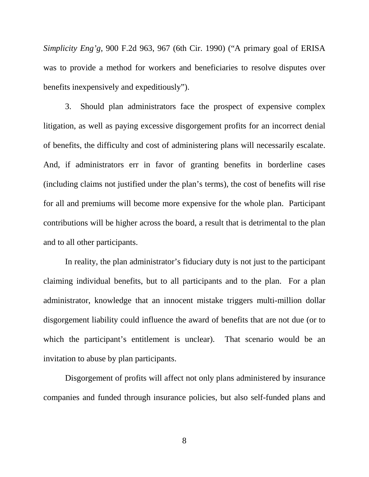*Simplicity Eng'g*, 900 F.2d 963, 967 (6th Cir. 1990) ("A primary goal of ERISA was to provide a method for workers and beneficiaries to resolve disputes over benefits inexpensively and expeditiously").

3. Should plan administrators face the prospect of expensive complex litigation, as well as paying excessive disgorgement profits for an incorrect denial of benefits, the difficulty and cost of administering plans will necessarily escalate. And, if administrators err in favor of granting benefits in borderline cases (including claims not justified under the plan's terms), the cost of benefits will rise for all and premiums will become more expensive for the whole plan. Participant contributions will be higher across the board, a result that is detrimental to the plan and to all other participants.

In reality, the plan administrator's fiduciary duty is not just to the participant claiming individual benefits, but to all participants and to the plan. For a plan administrator, knowledge that an innocent mistake triggers multi-million dollar disgorgement liability could influence the award of benefits that are not due (or to which the participant's entitlement is unclear). That scenario would be an invitation to abuse by plan participants.

Disgorgement of profits will affect not only plans administered by insurance companies and funded through insurance policies, but also self-funded plans and

8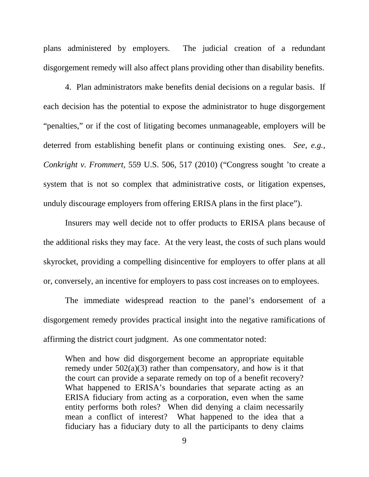plans administered by employers. The judicial creation of a redundant disgorgement remedy will also affect plans providing other than disability benefits.

4. Plan administrators make benefits denial decisions on a regular basis. If each decision has the potential to expose the administrator to huge disgorgement "penalties," or if the cost of litigating becomes unmanageable, employers will be deterred from establishing benefit plans or continuing existing ones. *See, e.g., Conkright v. Frommert*, 559 U.S. 506, 517 (2010) ("Congress sought 'to create a system that is not so complex that administrative costs, or litigation expenses, unduly discourage employers from offering ERISA plans in the first place").

Insurers may well decide not to offer products to ERISA plans because of the additional risks they may face. At the very least, the costs of such plans would skyrocket, providing a compelling disincentive for employers to offer plans at all or, conversely, an incentive for employers to pass cost increases on to employees.

The immediate widespread reaction to the panel's endorsement of a disgorgement remedy provides practical insight into the negative ramifications of affirming the district court judgment. As one commentator noted:

When and how did disgorgement become an appropriate equitable remedy under 502(a)(3) rather than compensatory, and how is it that the court can provide a separate remedy on top of a benefit recovery? What happened to ERISA's boundaries that separate acting as an ERISA fiduciary from acting as a corporation, even when the same entity performs both roles? When did denying a claim necessarily mean a conflict of interest? What happened to the idea that a fiduciary has a fiduciary duty to all the participants to deny claims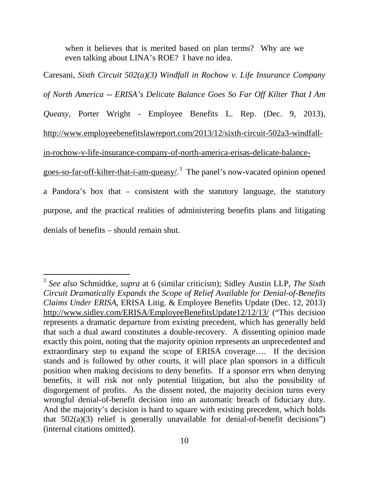when it believes that is merited based on plan terms? Why are we even talking about LINA's ROE? I have no idea.

Caresani, *Sixth Circuit 502(a)(3) Windfall in Rochow v. Life Insurance Company of North America -- ERISA's Delicate Balance Goes So Far Off Kilter That I Am Queasy*, Porter Wright - Employee Benefits L. Rep. (Dec. 9, 2013), [http://www.employeebenefitslawreport.com/2013/12/sixth-circuit-502a3-windfall](http://www.employeebenefitslawreport.com/2013/12/sixth-circuit-502a3-windfall-in-rochow-v-life-insurance-company-of-north-america-erisas-delicate-balance-goes-so-far-off-kilter-that-i-am-queasy/)[in-rochow-v-life-insurance-company-of-north-america-erisas-delicate-balance](http://www.employeebenefitslawreport.com/2013/12/sixth-circuit-502a3-windfall-in-rochow-v-life-insurance-company-of-north-america-erisas-delicate-balance-goes-so-far-off-kilter-that-i-am-queasy/)[goes-so-far-off-kilter-that-i-am-queasy/.](http://www.employeebenefitslawreport.com/2013/12/sixth-circuit-502a3-windfall-in-rochow-v-life-insurance-company-of-north-america-erisas-delicate-balance-goes-so-far-off-kilter-that-i-am-queasy/)<sup>[3](#page-14-0)</sup> The panel's now-vacated opinion opened a Pandora's box that – consistent with the statutory language, the statutory purpose, and the practical realities of administering benefits plans and litigating denials of benefits – should remain shut.

<span id="page-14-0"></span> <sup>3</sup> *See also* Schmidtke, *supra* at 6 (similar criticism); Sidley Austin LLP, *The Sixth Circuit Dramatically Expands the Scope of Relief Available for Denial-of-Benefits Claims Under ERISA*, ERISA Litig. & Employee Benefits Update (Dec. 12, 2013) http://www.sidley.com/ERISA/EmployeeBenefitsUpdate12/12/13/ ("This decision represents a dramatic departure from existing precedent, which has generally held that such a dual award constitutes a double-recovery. A dissenting opinion made exactly this point, noting that the majority opinion represents an unprecedented and extraordinary step to expand the scope of ERISA coverage…. If the decision stands and is followed by other courts, it will place plan sponsors in a difficult position when making decisions to deny benefits. If a sponsor errs when denying benefits, it will risk not only potential litigation, but also the possibility of disgorgement of profits. As the dissent noted, the majority decision turns every wrongful denial-of-benefit decision into an automatic breach of fiduciary duty. And the majority's decision is hard to square with existing precedent, which holds that  $502(a)(3)$  relief is generally unavailable for denial-of-benefit decisions") (internal citations omitted).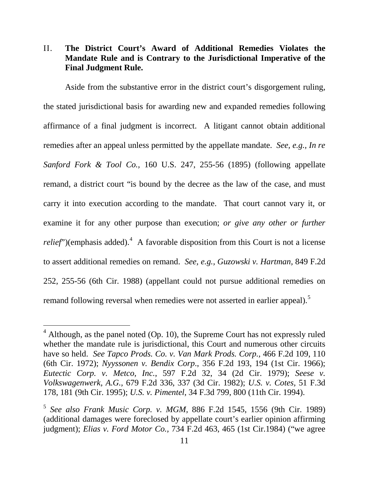### II. **The District Court's Award of Additional Remedies Violates the Mandate Rule and is Contrary to the Jurisdictional Imperative of the Final Judgment Rule.**

Aside from the substantive error in the district court's disgorgement ruling, the stated jurisdictional basis for awarding new and expanded remedies following affirmance of a final judgment is incorrect. A litigant cannot obtain additional remedies after an appeal unless permitted by the appellate mandate. *See, e.g., [In re](https://web2.westlaw.com/find/default.wl?mt=Westlaw&db=708&tc=-1&rp=%2ffind%2fdefault.wl&findtype=Y&ordoc=2011975875&serialnum=1895180231&vr=2.0&fn=_top&sv=Split&tf=-1&pbc=AD5A32E4&rs=WLW14.01)  Sanford Fork & Tool Co.,* [160 U.S. 247, 255-56 \(1895\)](https://web2.westlaw.com/find/default.wl?mt=Westlaw&db=708&tc=-1&rp=%2ffind%2fdefault.wl&findtype=Y&ordoc=2011975875&serialnum=1895180231&vr=2.0&fn=_top&sv=Split&tf=-1&pbc=AD5A32E4&rs=WLW14.01) (following appellate remand, a district court "is bound by the decree as the law of the case, and must carry it into execution according to the mandate. That court cannot vary it, or examine it for any other purpose than execution; *or give any other or further relief*")(emphasis added).<sup>[4](#page-15-0)</sup> A favorable disposition from this Court is not a license to assert additional remedies on remand. *See, e.g., Guzowski v. Hartman,* 849 F.2d 252, 255-56 (6th Cir. 1988) (appellant could not pursue additional remedies on remand following reversal when remedies were not asserted in earlier appeal).<sup>[5](#page-15-1)</sup>

<span id="page-15-0"></span> $4$  Although, as the panel noted (Op. 10), the Supreme Court has not expressly ruled whether the mandate rule is jurisdictional, this Court and numerous other circuits have so held. *See [Tapco Prods. Co. v. Van Mark Prods. Corp.,](https://web2.westlaw.com/find/default.wl?mt=Westlaw&db=350&tc=-1&rp=%2ffind%2fdefault.wl&findtype=Y&ordoc=2011975875&serialnum=1972111814&vr=2.0&fn=_top&sv=Split&tf=-1&referencepositiontype=S&pbc=AD5A32E4&referenceposition=110&rs=WLW14.01)* 466 F.2d 109, 110 [\(6th Cir.](https://web2.westlaw.com/find/default.wl?mt=Westlaw&db=350&tc=-1&rp=%2ffind%2fdefault.wl&findtype=Y&ordoc=2011975875&serialnum=1972111814&vr=2.0&fn=_top&sv=Split&tf=-1&referencepositiontype=S&pbc=AD5A32E4&referenceposition=110&rs=WLW14.01) 1972); *Nyyssonen v. Bendix Corp*., 356 F.2d 193, 194 (1st Cir. 1966); *Eutectic Corp. v. Metco, Inc.*[, 597 F.2d 32, 34 \(2d Cir. 1979\);](https://web2.westlaw.com/find/default.wl?mt=Westlaw&db=350&tc=-1&rp=%2ffind%2fdefault.wl&findtype=Y&ordoc=1982124949&serialnum=1979112656&vr=2.0&fn=_top&sv=Split&tf=-1&referencepositiontype=S&pbc=20E7486C&referenceposition=34&rs=WLW14.01) *[Seese v.](https://web2.westlaw.com/find/default.wl?mt=Westlaw&db=350&tc=-1&rp=%2ffind%2fdefault.wl&findtype=Y&ordoc=2011975875&serialnum=1982124949&vr=2.0&fn=_top&sv=Split&tf=-1&referencepositiontype=S&pbc=AD5A32E4&referenceposition=337&rs=WLW14.01)  Volkswagenwerk, A.G.,* [679 F.2d 336, 337 \(3d Cir.](https://web2.westlaw.com/find/default.wl?mt=Westlaw&db=350&tc=-1&rp=%2ffind%2fdefault.wl&findtype=Y&ordoc=2011975875&serialnum=1982124949&vr=2.0&fn=_top&sv=Split&tf=-1&referencepositiontype=S&pbc=AD5A32E4&referenceposition=337&rs=WLW14.01) 1982); *U.S. [v. Cotes,](https://web2.westlaw.com/find/default.wl?mt=Westlaw&db=506&tc=-1&rp=%2ffind%2fdefault.wl&findtype=Y&ordoc=2028662000&serialnum=1995066500&vr=2.0&fn=_top&sv=Split&tf=-1&referencepositiontype=S&pbc=988B59D6&referenceposition=181&rs=WLW14.01)* 51 F.3d [178, 181 \(9th Cir. 1995\);](https://web2.westlaw.com/find/default.wl?mt=Westlaw&db=506&tc=-1&rp=%2ffind%2fdefault.wl&findtype=Y&ordoc=2028662000&serialnum=1995066500&vr=2.0&fn=_top&sv=Split&tf=-1&referencepositiontype=S&pbc=988B59D6&referenceposition=181&rs=WLW14.01) *U.S. v. Pimentel*, 34 F.3d 799, 800 (11th Cir. 1994).

<span id="page-15-1"></span><sup>5</sup> *See also [Frank Music Corp. v. MGM,](https://web2.westlaw.com/find/default.wl?rs=WLW14.01&pbc=77FC9F43&vr=2.0&docname=CIK(0000778706)&lvbp=T&rp=%2ffind%2fdefault.wl&sv=Split&fn=_top&findtype=l&mt=Westlaw&returnto=BusinessNameReturnTo&db=BC-COMPANYSRBD)* 886 F.2d 1545, 1556 (9th Cir. 1989) (additional damages were foreclosed by appellate court's earlier opinion affirming judgment); *Elias v. Ford Motor Co.,* [734 F.2d 463, 465 \(1st Cir.1984\)](https://web2.westlaw.com/find/default.wl?mt=Westlaw&db=350&tc=-1&rp=%2ffind%2fdefault.wl&findtype=Y&ordoc=1987056360&serialnum=1984123739&vr=2.0&fn=_top&sv=Split&tf=-1&referencepositiontype=S&pbc=54F5F489&referenceposition=465&rs=WLW14.01) ("we agree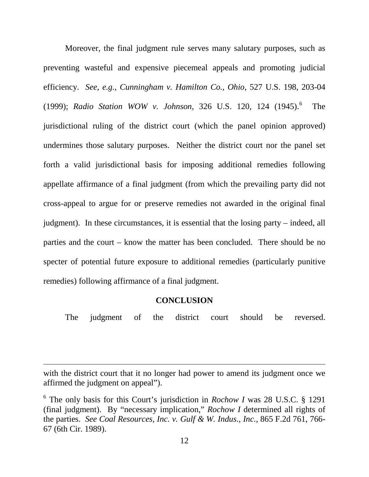Moreover, the final judgment rule serves many salutary purposes, such as preventing wasteful and expensive piecemeal appeals and promoting judicial efficiency. *See, e.g., [Cunningham v. Hamilton Co., Ohio](https://web2.westlaw.com/find/default.wl?mt=Westlaw&db=780&tc=-1&rp=%2ffind%2fdefault.wl&findtype=Y&ordoc=0281207976&serialnum=1999139763&vr=2.0&fn=_top&sv=Split&tf=-1&referencepositiontype=S&pbc=B966A573&referenceposition=203&rs=WLW14.01)*, 527 U.S. 198, 203-04 [\(1999\);](https://web2.westlaw.com/find/default.wl?mt=Westlaw&db=780&tc=-1&rp=%2ffind%2fdefault.wl&findtype=Y&ordoc=0281207976&serialnum=1999139763&vr=2.0&fn=_top&sv=Split&tf=-1&referencepositiontype=S&pbc=B966A573&referenceposition=203&rs=WLW14.01) *Radio Station WOW v. Johnson,* [326 U.S. 120, 124 \(1945\).](https://web2.westlaw.com/find/default.wl?mt=Westlaw&db=708&tc=-1&rp=%2ffind%2fdefault.wl&findtype=Y&ordoc=1998027029&serialnum=1945117433&vr=2.0&fn=_top&sv=Split&tf=-1&referencepositiontype=S&pbc=6831A515&referenceposition=1478&rs=WLW14.01) [6](#page-16-0) The jurisdictional ruling of the district court (which the panel opinion approved) undermines those salutary purposes. Neither the district court nor the panel set forth a valid jurisdictional basis for imposing additional remedies following appellate affirmance of a final judgment (from which the prevailing party did not cross-appeal to argue for or preserve remedies not awarded in the original final judgment). In these circumstances, it is essential that the losing party – indeed, all parties and the court – know the matter has been concluded. There should be no specter of potential future exposure to additional remedies (particularly punitive remedies) following affirmance of a final judgment.

#### **CONCLUSION**

The judgment of the district court should be reversed.

with the district court that it no longer had power to amend its judgment once we affirmed the judgment on appeal").

 $\overline{a}$ 

<span id="page-16-0"></span><sup>6</sup> The only basis for this Court's jurisdiction in *Rochow I* was 28 U.S.C. § 1291 (final judgment). By "necessary implication," *Rochow I* determined all rights of the parties. *See [Coal Resources, Inc. v. Gulf & W. Indus., Inc.](https://web2.westlaw.com/find/default.wl?rs=WLW14.01&pbc=95470B20&vr=2.0&docname=CIK(LE00102617)&lvbp=T&rp=%2ffind%2fdefault.wl&sv=Split&fn=_top&findtype=l&mt=Westlaw&returnto=BusinessNameReturnTo&db=BC-COMPANYSRBD)*, 865 F.2d 761, 766- 67 (6th Cir. 1989).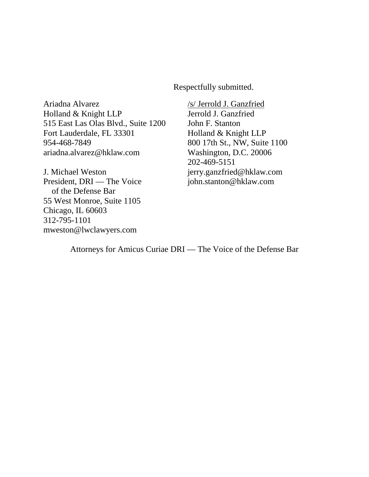Respectfully submitted.

Ariadna Alvarez Holland & Knight LLP 515 East Las Olas Blvd., Suite 1200 Fort Lauderdale, FL 33301 954-468-7849 ariadna.alvarez@hklaw.com

J. Michael Weston President, DRI — The Voice of the Defense Bar 55 West Monroe, Suite 1105 Chicago, IL 60603 312-795-1101 [mweston@lwclawyers.com](mailto:mweston@lwclawyers.com)

Jerrold J. Ganzfried John F. Stanton Holland & Knight LLP /s/ Jerrold J. Ganzfried 800 17th St., NW, Suite 1100 Washington, D.C. 20006 202-469-5151 [jerry.ganzfried@hklaw.com](mailto:jerry.ganzfried@hklaw.com) john.stanton@hklaw.com

Attorneys for Amicus Curiae DRI — The Voice of the Defense Bar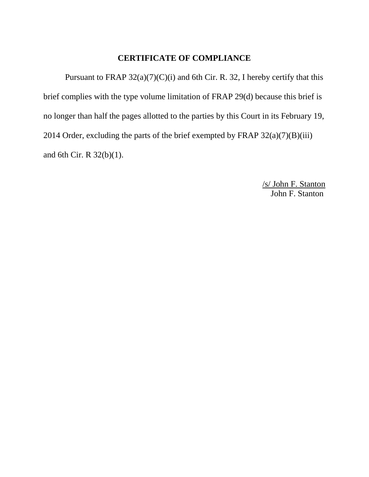### **CERTIFICATE OF COMPLIANCE**

Pursuant to FRAP  $32(a)(7)(C)(i)$  and 6th Cir. R. 32, I hereby certify that this brief complies with the type volume limitation of FRAP 29(d) because this brief is no longer than half the pages allotted to the parties by this Court in its February 19, 2014 Order, excluding the parts of the brief exempted by FRAP  $32(a)(7)(B)(iii)$ and 6th Cir. R 32(b)(1).

> John F. Stanton /s/ John F. Stanton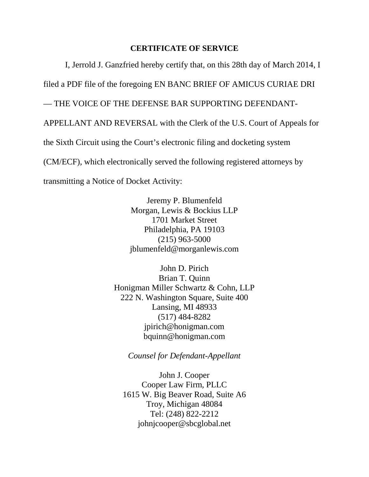#### **CERTIFICATE OF SERVICE**

I, Jerrold J. Ganzfried hereby certify that, on this 28th day of March 2014, I filed a PDF file of the foregoing EN BANC BRIEF OF AMICUS CURIAE DRI — THE VOICE OF THE DEFENSE BAR SUPPORTING DEFENDANT-APPELLANT AND REVERSAL with the Clerk of the U.S. Court of Appeals for the Sixth Circuit using the Court's electronic filing and docketing system (CM/ECF), which electronically served the following registered attorneys by transmitting a Notice of Docket Activity:

> Jeremy P. Blumenfeld Morgan, Lewis & Bockius LLP 1701 Market Street Philadelphia, PA 19103 (215) 963-5000 [jblumenfeld@morganlewis.com](http://www.morganlewis.com/index.cfm/personID/267605fd-2d21-4f53-8053-5a70bf81ac8a/fuseaction/people.emailPerson/)

John D. Pirich Brian T. Quinn Honigman Miller Schwartz & Cohn, LLP 222 N. Washington Square, Suite 400 Lansing, MI 48933 (517) 484-8282 [jpirich@honigman.com](mailto:jpirich@honigman.com) [bquinn@honigman.com](mailto:bquinn@honigman.com)

*Counsel for Defendant-Appellant*

John J. Cooper Cooper Law Firm, PLLC 1615 W. Big Beaver Road, Suite A6 Troy, Michigan 48084 Tel: (248) 822-2212 [johnjcooper@sbcglobal.net](mailto:johnjcooper@sbcglobal.net)